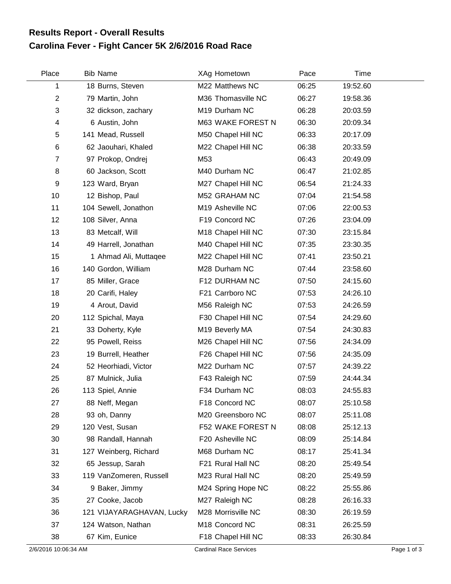## **Carolina Fever - Fight Cancer 5K 2/6/2016 Road Race Results Report - Overall Results**

| Place          | <b>Bib Name</b>           | XAg Hometown       | Pace  | Time     |  |
|----------------|---------------------------|--------------------|-------|----------|--|
| 1              | 18 Burns, Steven          | M22 Matthews NC    | 06:25 | 19:52.60 |  |
| $\mathbf{2}$   | 79 Martin, John           | M36 Thomasville NC | 06:27 | 19:58.36 |  |
| 3              | 32 dickson, zachary       | M19 Durham NC      | 06:28 | 20:03.59 |  |
| 4              | 6 Austin, John            | M63 WAKE FOREST N  | 06:30 | 20:09.34 |  |
| 5              | 141 Mead, Russell         | M50 Chapel Hill NC | 06:33 | 20:17.09 |  |
| 6              | 62 Jaouhari, Khaled       | M22 Chapel Hill NC | 06:38 | 20:33.59 |  |
| $\overline{7}$ | 97 Prokop, Ondrej         | M53                | 06:43 | 20:49.09 |  |
| 8              | 60 Jackson, Scott         | M40 Durham NC      | 06:47 | 21:02.85 |  |
| 9              | 123 Ward, Bryan           | M27 Chapel Hill NC | 06:54 | 21:24.33 |  |
| 10             | 12 Bishop, Paul           | M52 GRAHAM NC      | 07:04 | 21:54.58 |  |
| 11             | 104 Sewell, Jonathon      | M19 Asheville NC   | 07:06 | 22:00.53 |  |
| 12             | 108 Silver, Anna          | F19 Concord NC     | 07:26 | 23:04.09 |  |
| 13             | 83 Metcalf, Will          | M18 Chapel Hill NC | 07:30 | 23:15.84 |  |
| 14             | 49 Harrell, Jonathan      | M40 Chapel Hill NC | 07:35 | 23:30.35 |  |
| 15             | 1 Ahmad Ali, Muttaqee     | M22 Chapel Hill NC | 07:41 | 23:50.21 |  |
| 16             | 140 Gordon, William       | M28 Durham NC      | 07:44 | 23:58.60 |  |
| 17             | 85 Miller, Grace          | F12 DURHAM NC      | 07:50 | 24:15.60 |  |
| 18             | 20 Carifi, Haley          | F21 Carrboro NC    | 07:53 | 24:26.10 |  |
| 19             | 4 Arout, David            | M56 Raleigh NC     | 07:53 | 24:26.59 |  |
| 20             | 112 Spichal, Maya         | F30 Chapel Hill NC | 07:54 | 24:29.60 |  |
| 21             | 33 Doherty, Kyle          | M19 Beverly MA     | 07:54 | 24:30.83 |  |
| 22             | 95 Powell, Reiss          | M26 Chapel Hill NC | 07:56 | 24:34.09 |  |
| 23             | 19 Burrell, Heather       | F26 Chapel Hill NC | 07:56 | 24:35.09 |  |
| 24             | 52 Heorhiadi, Victor      | M22 Durham NC      | 07:57 | 24:39.22 |  |
| 25             | 87 Mulnick, Julia         | F43 Raleigh NC     | 07:59 | 24:44.34 |  |
| 26             | 113 Spiel, Annie          | F34 Durham NC      | 08:03 | 24:55.83 |  |
| 27             | 88 Neff, Megan            | F18 Concord NC     | 08:07 | 25:10.58 |  |
| 28             | 93 oh, Danny              | M20 Greensboro NC  | 08:07 | 25:11.08 |  |
| 29             | 120 Vest, Susan           | F52 WAKE FOREST N  | 08:08 | 25:12.13 |  |
| 30             | 98 Randall, Hannah        | F20 Asheville NC   | 08:09 | 25:14.84 |  |
| 31             | 127 Weinberg, Richard     | M68 Durham NC      | 08:17 | 25:41.34 |  |
| 32             | 65 Jessup, Sarah          | F21 Rural Hall NC  | 08:20 | 25:49.54 |  |
| 33             | 119 VanZomeren, Russell   | M23 Rural Hall NC  | 08:20 | 25:49.59 |  |
| 34             | 9 Baker, Jimmy            | M24 Spring Hope NC | 08:22 | 25:55.86 |  |
| 35             | 27 Cooke, Jacob           | M27 Raleigh NC     | 08:28 | 26:16.33 |  |
| 36             | 121 VIJAYARAGHAVAN, Lucky | M28 Morrisville NC | 08:30 | 26:19.59 |  |
| 37             | 124 Watson, Nathan        | M18 Concord NC     | 08:31 | 26:25.59 |  |
| 38             | 67 Kim, Eunice            | F18 Chapel Hill NC | 08:33 | 26:30.84 |  |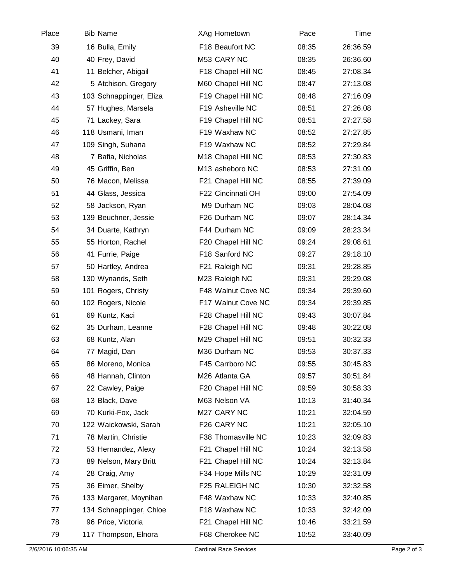| Place | <b>Bib Name</b>         | XAg Hometown       | Pace  | Time     |  |
|-------|-------------------------|--------------------|-------|----------|--|
| 39    | 16 Bulla, Emily         | F18 Beaufort NC    | 08:35 | 26:36.59 |  |
| 40    | 40 Frey, David          | M53 CARY NC        | 08:35 | 26:36.60 |  |
| 41    | 11 Belcher, Abigail     | F18 Chapel Hill NC | 08:45 | 27:08.34 |  |
| 42    | 5 Atchison, Gregory     | M60 Chapel Hill NC | 08:47 | 27:13.08 |  |
| 43    | 103 Schnappinger, Eliza | F19 Chapel Hill NC | 08:48 | 27:16.09 |  |
| 44    | 57 Hughes, Marsela      | F19 Asheville NC   | 08:51 | 27:26.08 |  |
| 45    | 71 Lackey, Sara         | F19 Chapel Hill NC | 08:51 | 27:27.58 |  |
| 46    | 118 Usmani, Iman        | F19 Waxhaw NC      | 08:52 | 27:27.85 |  |
| 47    | 109 Singh, Suhana       | F19 Waxhaw NC      | 08:52 | 27:29.84 |  |
| 48    | 7 Bafia, Nicholas       | M18 Chapel Hill NC | 08:53 | 27:30.83 |  |
| 49    | 45 Griffin, Ben         | M13 asheboro NC    | 08:53 | 27:31.09 |  |
| 50    | 76 Macon, Melissa       | F21 Chapel Hill NC | 08:55 | 27:39.09 |  |
| 51    | 44 Glass, Jessica       | F22 Cincinnati OH  | 09:00 | 27:54.09 |  |
| 52    | 58 Jackson, Ryan        | M9 Durham NC       | 09:03 | 28:04.08 |  |
| 53    | 139 Beuchner, Jessie    | F26 Durham NC      | 09:07 | 28:14.34 |  |
| 54    | 34 Duarte, Kathryn      | F44 Durham NC      | 09:09 | 28:23.34 |  |
| 55    | 55 Horton, Rachel       | F20 Chapel Hill NC | 09:24 | 29:08.61 |  |
| 56    | 41 Furrie, Paige        | F18 Sanford NC     | 09:27 | 29:18.10 |  |
| 57    | 50 Hartley, Andrea      | F21 Raleigh NC     | 09:31 | 29:28.85 |  |
| 58    | 130 Wynands, Seth       | M23 Raleigh NC     | 09:31 | 29:29.08 |  |
| 59    | 101 Rogers, Christy     | F48 Walnut Cove NC | 09:34 | 29:39.60 |  |
| 60    | 102 Rogers, Nicole      | F17 Walnut Cove NC | 09:34 | 29:39.85 |  |
| 61    | 69 Kuntz, Kaci          | F28 Chapel Hill NC | 09:43 | 30:07.84 |  |
| 62    | 35 Durham, Leanne       | F28 Chapel Hill NC | 09:48 | 30:22.08 |  |
| 63    | 68 Kuntz, Alan          | M29 Chapel Hill NC | 09:51 | 30:32.33 |  |
| 64    | 77 Magid, Dan           | M36 Durham NC      | 09:53 | 30:37.33 |  |
| 65    | 86 Moreno, Monica       | F45 Carrboro NC    | 09:55 | 30:45.83 |  |
| 66    | 48 Hannah, Clinton      | M26 Atlanta GA     | 09:57 | 30:51.84 |  |
| 67    | 22 Cawley, Paige        | F20 Chapel Hill NC | 09:59 | 30:58.33 |  |
| 68    | 13 Black, Dave          | M63 Nelson VA      | 10:13 | 31:40.34 |  |
| 69    | 70 Kurki-Fox, Jack      | M27 CARY NC        | 10:21 | 32:04.59 |  |
| 70    | 122 Waickowski, Sarah   | F26 CARY NC        | 10:21 | 32:05.10 |  |
| 71    | 78 Martin, Christie     | F38 Thomasville NC | 10:23 | 32:09.83 |  |
| 72    | 53 Hernandez, Alexy     | F21 Chapel Hill NC | 10:24 | 32:13.58 |  |
| 73    | 89 Nelson, Mary Britt   | F21 Chapel Hill NC | 10:24 | 32:13.84 |  |
| 74    | 28 Craig, Amy           | F34 Hope Mills NC  | 10:29 | 32:31.09 |  |
| 75    | 36 Eimer, Shelby        | F25 RALEIGH NC     | 10:30 | 32:32.58 |  |
| 76    | 133 Margaret, Moynihan  | F48 Waxhaw NC      | 10:33 | 32:40.85 |  |
| 77    | 134 Schnappinger, Chloe | F18 Waxhaw NC      | 10:33 | 32:42.09 |  |
| 78    | 96 Price, Victoria      | F21 Chapel Hill NC | 10:46 | 33:21.59 |  |
| 79    | 117 Thompson, Elnora    | F68 Cherokee NC    | 10:52 | 33:40.09 |  |